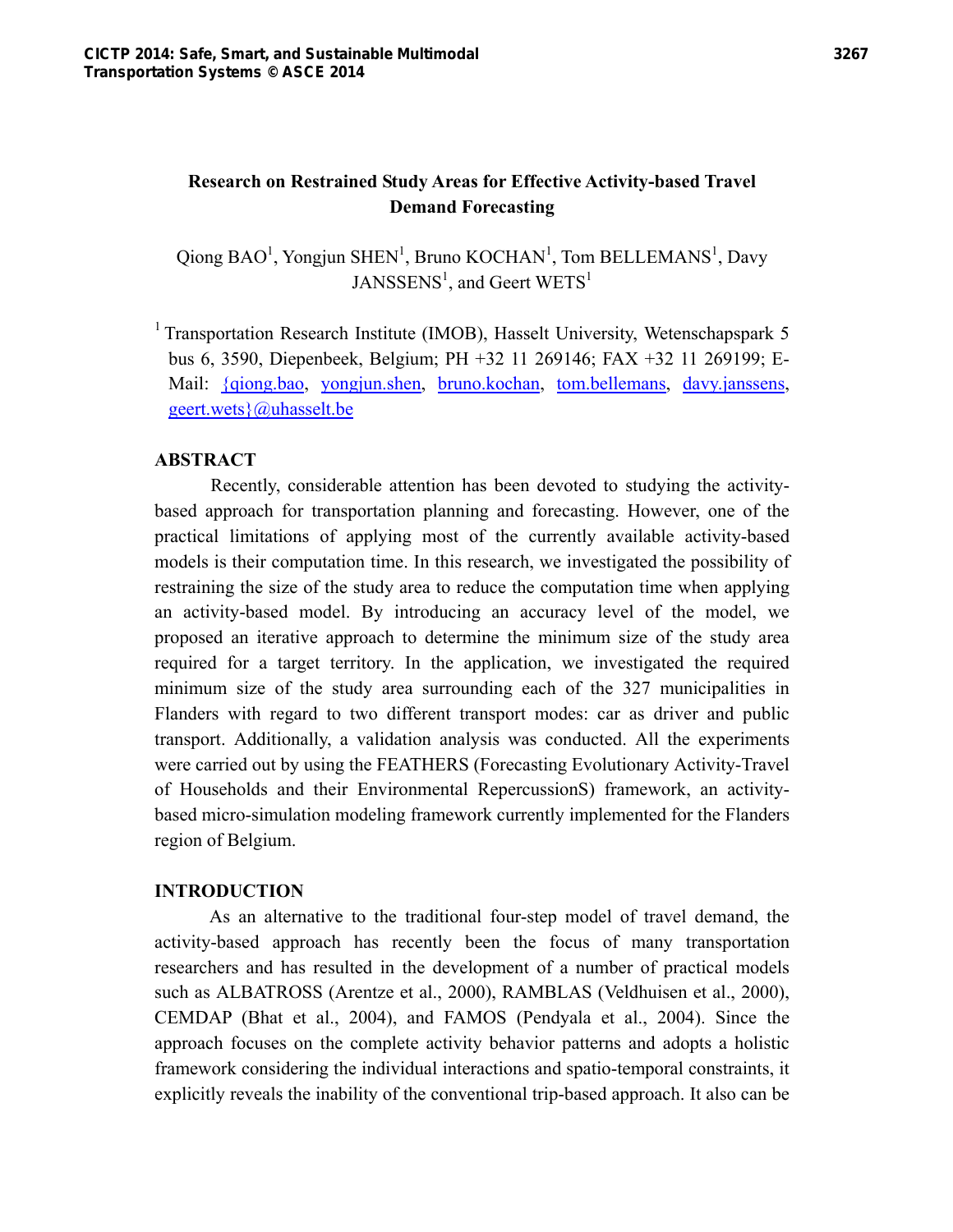# **Research on Restrained Study Areas for Effective Activity-based Travel Demand Forecasting**

Qiong  $BAO^1$ , Yongjun SHEN<sup>1</sup>, Bruno KOCHAN<sup>1</sup>, Tom BELLEMANS<sup>1</sup>, Davy JANSSENS<sup>1</sup>, and Geert WETS<sup>1</sup>

<sup>1</sup> Transportation Research Institute (IMOB), Hasselt University, Wetenschapspark 5 bus 6, 3590, Diepenbeek, Belgium; PH +32 11 269146; FAX +32 11 269199; E-Mail: {qiong.bao, yongjun.shen, bruno.kochan, tom.bellemans, davy.janssens, geert.wets}@uhasselt.be

# **ABSTRACT**

Recently, considerable attention has been devoted to studying the activitybased approach for transportation planning and forecasting. However, one of the practical limitations of applying most of the currently available activity-based models is their computation time. In this research, we investigated the possibility of restraining the size of the study area to reduce the computation time when applying an activity-based model. By introducing an accuracy level of the model, we proposed an iterative approach to determine the minimum size of the study area required for a target territory. In the application, we investigated the required minimum size of the study area surrounding each of the 327 municipalities in Flanders with regard to two different transport modes: car as driver and public transport. Additionally, a validation analysis was conducted. All the experiments were carried out by using the FEATHERS (Forecasting Evolutionary Activity-Travel of Households and their Environmental RepercussionS) framework, an activitybased micro-simulation modeling framework currently implemented for the Flanders region of Belgium.

## **INTRODUCTION**

As an alternative to the traditional four-step model of travel demand, the activity-based approach has recently been the focus of many transportation researchers and has resulted in the development of a number of practical models such as ALBATROSS (Arentze et al., 2000), RAMBLAS (Veldhuisen et al., 2000), CEMDAP (Bhat et al., 2004), and FAMOS (Pendyala et al., 2004). Since the approach focuses on the complete activity behavior patterns and adopts a holistic framework considering the individual interactions and spatio-temporal constraints, it explicitly reveals the inability of the conventional trip-based approach. It also can be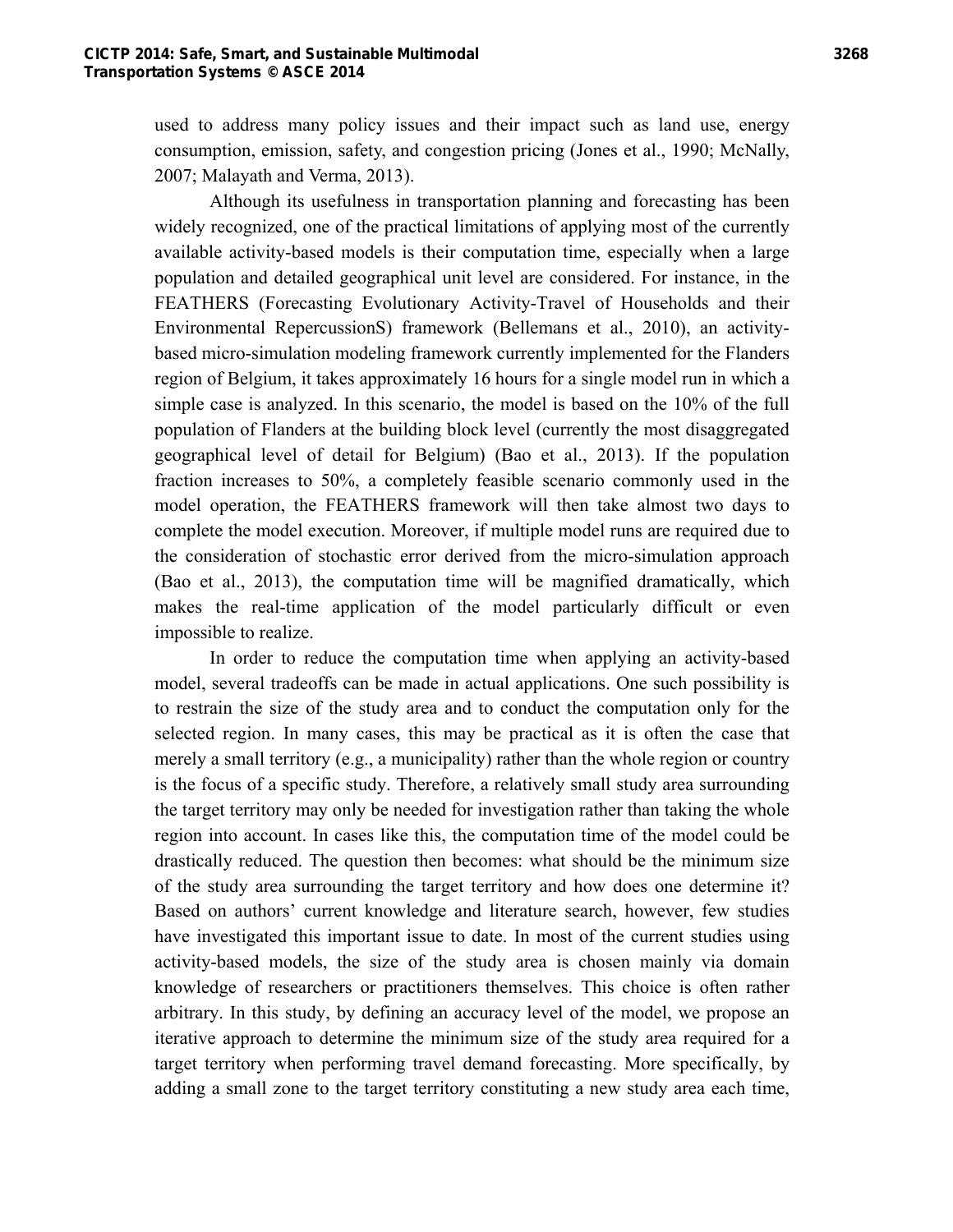used to address many policy issues and their impact such as land use, energy consumption, emission, safety, and congestion pricing (Jones et al., 1990; McNally, 2007; Malayath and Verma, 2013).

Although its usefulness in transportation planning and forecasting has been widely recognized, one of the practical limitations of applying most of the currently available activity-based models is their computation time, especially when a large population and detailed geographical unit level are considered. For instance, in the FEATHERS (Forecasting Evolutionary Activity-Travel of Households and their Environmental RepercussionS) framework (Bellemans et al., 2010), an activitybased micro-simulation modeling framework currently implemented for the Flanders region of Belgium, it takes approximately 16 hours for a single model run in which a simple case is analyzed. In this scenario, the model is based on the 10% of the full population of Flanders at the building block level (currently the most disaggregated geographical level of detail for Belgium) (Bao et al., 2013). If the population fraction increases to 50%, a completely feasible scenario commonly used in the model operation, the FEATHERS framework will then take almost two days to complete the model execution. Moreover, if multiple model runs are required due to the consideration of stochastic error derived from the micro-simulation approach (Bao et al., 2013), the computation time will be magnified dramatically, which makes the real-time application of the model particularly difficult or even impossible to realize.

In order to reduce the computation time when applying an activity-based model, several tradeoffs can be made in actual applications. One such possibility is to restrain the size of the study area and to conduct the computation only for the selected region. In many cases, this may be practical as it is often the case that merely a small territory (e.g., a municipality) rather than the whole region or country is the focus of a specific study. Therefore, a relatively small study area surrounding the target territory may only be needed for investigation rather than taking the whole region into account. In cases like this, the computation time of the model could be drastically reduced. The question then becomes: what should be the minimum size of the study area surrounding the target territory and how does one determine it? Based on authors' current knowledge and literature search, however, few studies have investigated this important issue to date. In most of the current studies using activity-based models, the size of the study area is chosen mainly via domain knowledge of researchers or practitioners themselves. This choice is often rather arbitrary. In this study, by defining an accuracy level of the model, we propose an iterative approach to determine the minimum size of the study area required for a target territory when performing travel demand forecasting. More specifically, by adding a small zone to the target territory constituting a new study area each time,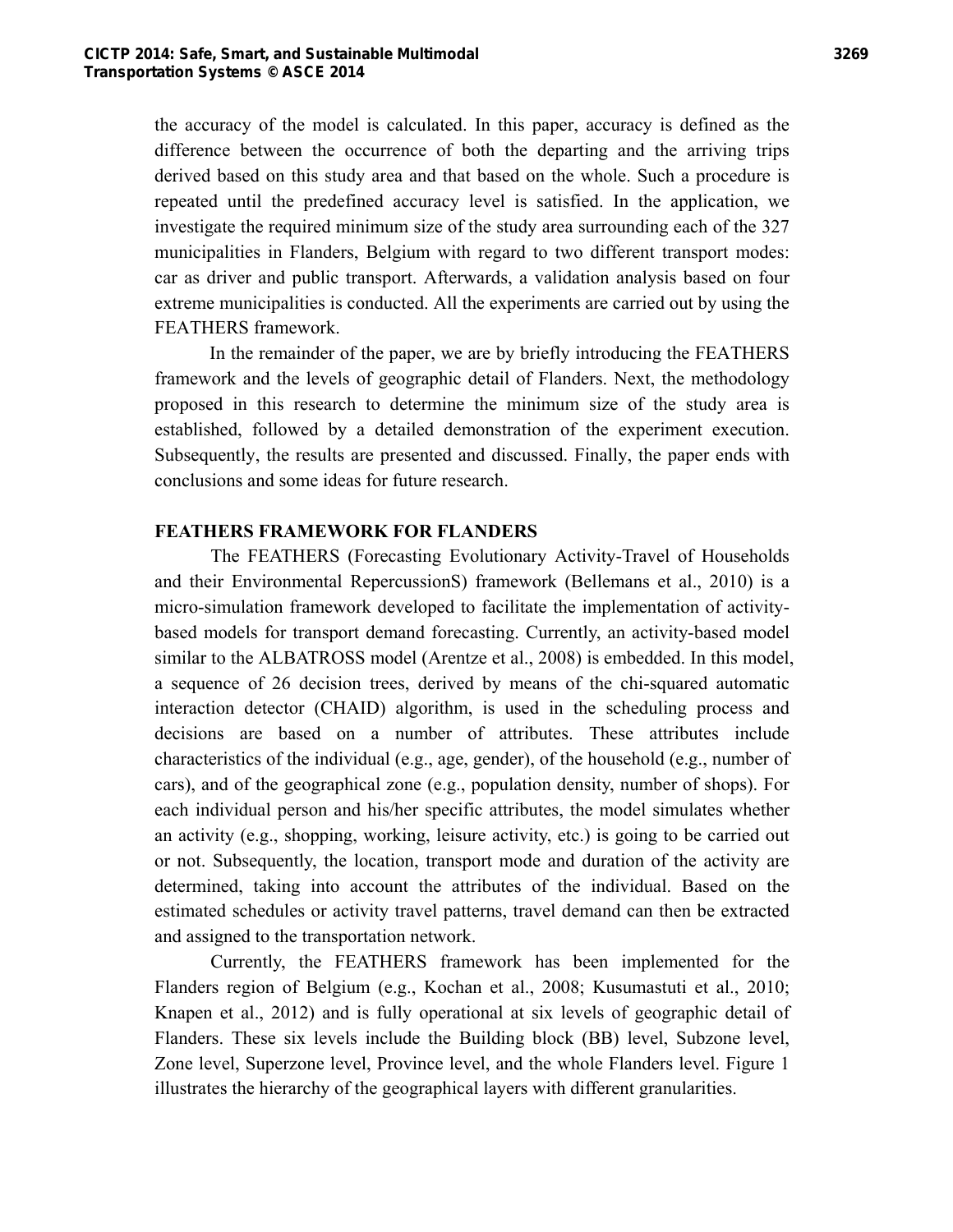the accuracy of the model is calculated. In this paper, accuracy is defined as the difference between the occurrence of both the departing and the arriving trips derived based on this study area and that based on the whole. Such a procedure is repeated until the predefined accuracy level is satisfied. In the application, we investigate the required minimum size of the study area surrounding each of the 327 municipalities in Flanders, Belgium with regard to two different transport modes: car as driver and public transport. Afterwards, a validation analysis based on four extreme municipalities is conducted. All the experiments are carried out by using the FEATHERS framework.

In the remainder of the paper, we are by briefly introducing the FEATHERS framework and the levels of geographic detail of Flanders. Next, the methodology proposed in this research to determine the minimum size of the study area is established, followed by a detailed demonstration of the experiment execution. Subsequently, the results are presented and discussed. Finally, the paper ends with conclusions and some ideas for future research.

# **FEATHERS FRAMEWORK FOR FLANDERS**

The FEATHERS (Forecasting Evolutionary Activity-Travel of Households and their Environmental RepercussionS) framework (Bellemans et al., 2010) is a micro-simulation framework developed to facilitate the implementation of activitybased models for transport demand forecasting. Currently, an activity-based model similar to the ALBATROSS model (Arentze et al., 2008) is embedded. In this model, a sequence of 26 decision trees, derived by means of the chi-squared automatic interaction detector (CHAID) algorithm, is used in the scheduling process and decisions are based on a number of attributes. These attributes include characteristics of the individual (e.g., age, gender), of the household (e.g., number of cars), and of the geographical zone (e.g., population density, number of shops). For each individual person and his/her specific attributes, the model simulates whether an activity (e.g., shopping, working, leisure activity, etc.) is going to be carried out or not. Subsequently, the location, transport mode and duration of the activity are determined, taking into account the attributes of the individual. Based on the estimated schedules or activity travel patterns, travel demand can then be extracted and assigned to the transportation network.

Currently, the FEATHERS framework has been implemented for the Flanders region of Belgium (e.g., Kochan et al., 2008; Kusumastuti et al., 2010; Knapen et al., 2012) and is fully operational at six levels of geographic detail of Flanders. These six levels include the Building block (BB) level, Subzone level, Zone level, Superzone level, Province level, and the whole Flanders level. Figure 1 illustrates the hierarchy of the geographical layers with different granularities.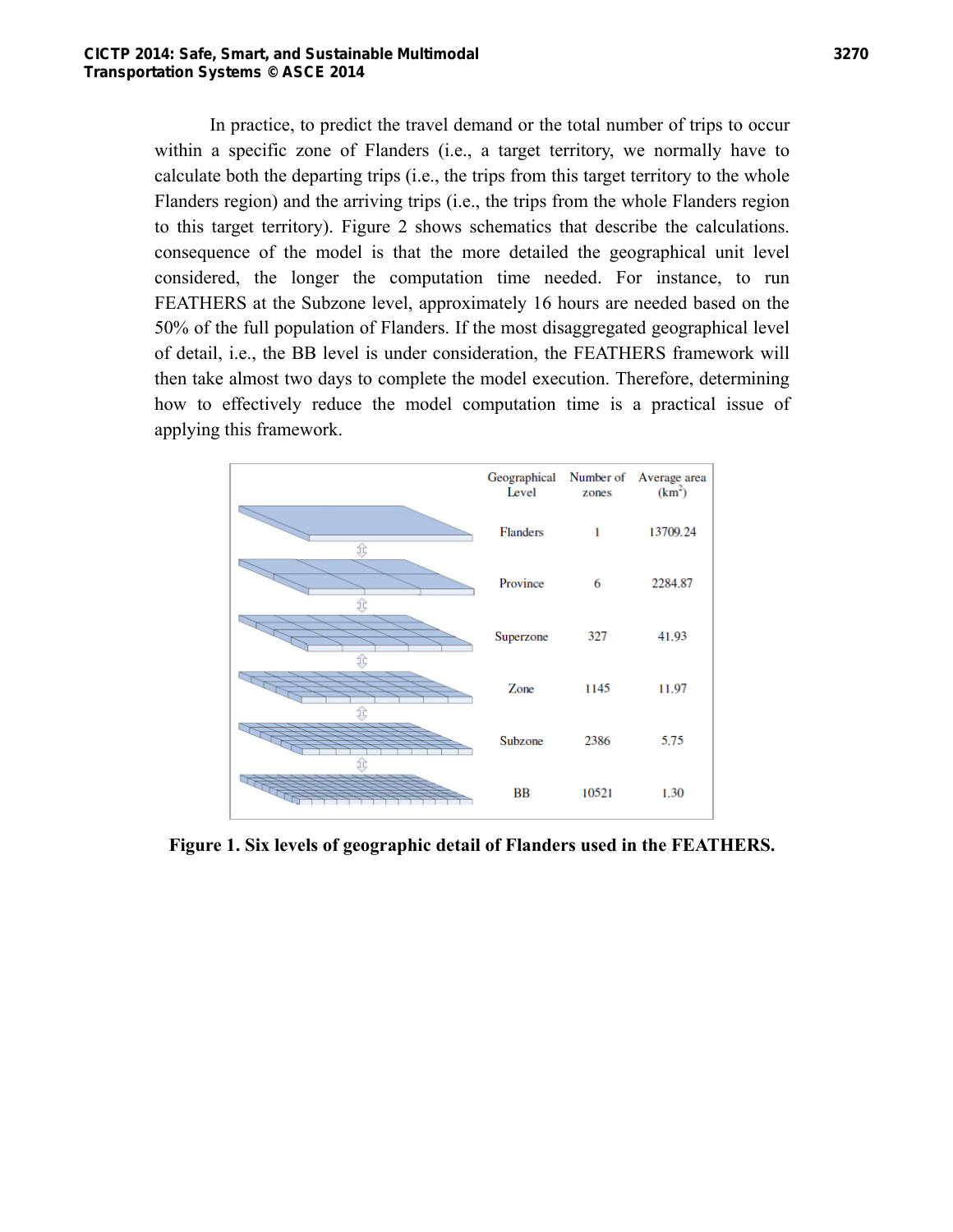In practice, to predict the travel demand or the total number of trips to occur within a specific zone of Flanders (i.e., a target territory, we normally have to calculate both the departing trips (i.e., the trips from this target territory to the whole Flanders region) and the arriving trips (i.e., the trips from the whole Flanders region to this target territory). Figure 2 shows schematics that describe the calculations. consequence of the model is that the more detailed the geographical unit level considered, the longer the computation time needed. For instance, to run FEATHERS at the Subzone level, approximately 16 hours are needed based on the 50% of the full population of Flanders. If the most disaggregated geographical level of detail, i.e., the BB level is under consideration, the FEATHERS framework will then take almost two days to complete the model execution. Therefore, determining how to effectively reduce the model computation time is a practical issue of applying this framework.



**Figure 1. Six levels of geographic detail of Flanders used in the FEATHERS.**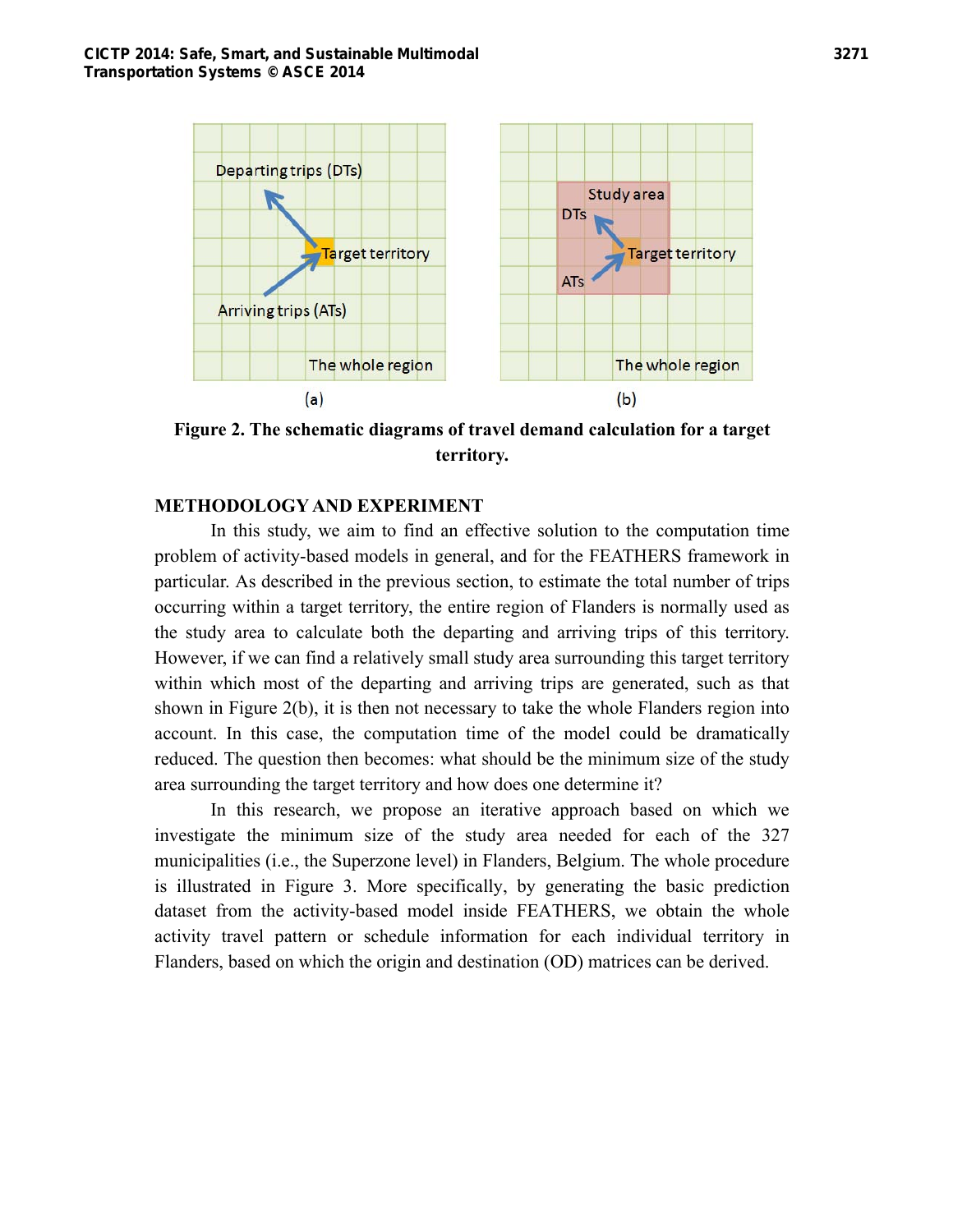

**Figure 2. The schematic diagrams of travel demand calculation for a target territory.** 

## **METHODOLOGY AND EXPERIMENT**

In this study, we aim to find an effective solution to the computation time problem of activity-based models in general, and for the FEATHERS framework in particular. As described in the previous section, to estimate the total number of trips occurring within a target territory, the entire region of Flanders is normally used as the study area to calculate both the departing and arriving trips of this territory. However, if we can find a relatively small study area surrounding this target territory within which most of the departing and arriving trips are generated, such as that shown in Figure 2(b), it is then not necessary to take the whole Flanders region into account. In this case, the computation time of the model could be dramatically reduced. The question then becomes: what should be the minimum size of the study area surrounding the target territory and how does one determine it?

In this research, we propose an iterative approach based on which we investigate the minimum size of the study area needed for each of the 327 municipalities (i.e., the Superzone level) in Flanders, Belgium. The whole procedure is illustrated in Figure 3. More specifically, by generating the basic prediction dataset from the activity-based model inside FEATHERS, we obtain the whole activity travel pattern or schedule information for each individual territory in Flanders, based on which the origin and destination (OD) matrices can be derived.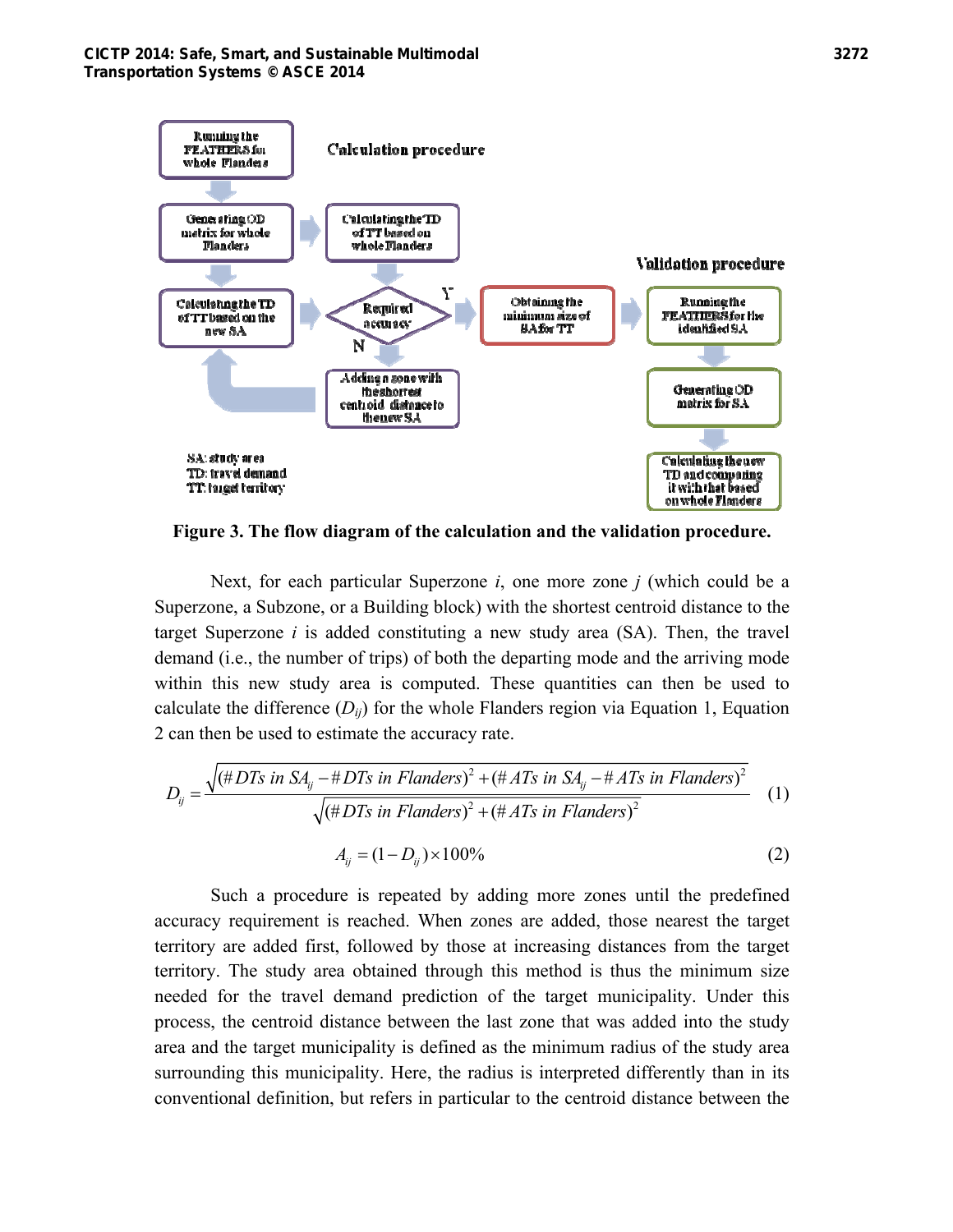

**Figure 3. The flow diagram of the calculation and the validation procedure.** 

Next, for each particular Superzone *i*, one more zone *j* (which could be a Superzone, a Subzone, or a Building block) with the shortest centroid distance to the target Superzone *i* is added constituting a new study area (SA). Then, the travel demand (i.e., the number of trips) of both the departing mode and the arriving mode within this new study area is computed. These quantities can then be used to calculate the difference  $(D_{ii})$  for the whole Flanders region via Equation 1, Equation 2 can then be used to estimate the accuracy rate.

$$
D_{ij} = \frac{\sqrt{(\#DTs \text{ in } SA_{ij} - \#DTs \text{ in Flanders})^2 + (\#AFs \text{ in } SA_{ij} - \#ATs \text{ in Flanders})^2}}{\sqrt{(\#DTs \text{ in Flanders})^2 + (\#AFs \text{ in Flanders})^2}}
$$
(1)  

$$
A_{ij} = (1 - D_{ij}) \times 100\%
$$
(2)

Such a procedure is repeated by adding more zones until the predefined accuracy requirement is reached. When zones are added, those nearest the target territory are added first, followed by those at increasing distances from the target territory. The study area obtained through this method is thus the minimum size needed for the travel demand prediction of the target municipality. Under this process, the centroid distance between the last zone that was added into the study area and the target municipality is defined as the minimum radius of the study area surrounding this municipality. Here, the radius is interpreted differently than in its conventional definition, but refers in particular to the centroid distance between the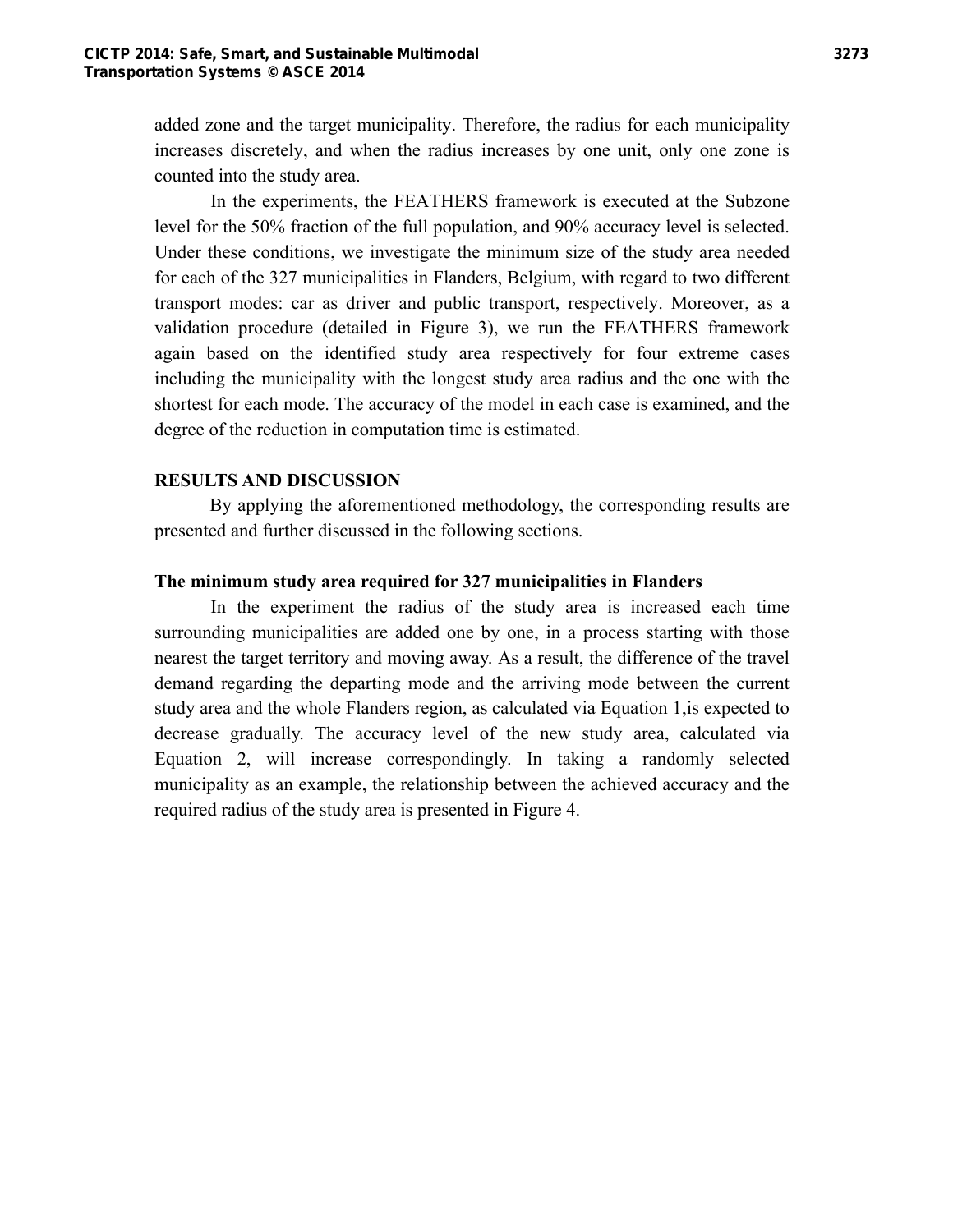added zone and the target municipality. Therefore, the radius for each municipality increases discretely, and when the radius increases by one unit, only one zone is counted into the study area.

In the experiments, the FEATHERS framework is executed at the Subzone level for the 50% fraction of the full population, and 90% accuracy level is selected. Under these conditions, we investigate the minimum size of the study area needed for each of the 327 municipalities in Flanders, Belgium, with regard to two different transport modes: car as driver and public transport, respectively. Moreover, as a validation procedure (detailed in Figure 3), we run the FEATHERS framework again based on the identified study area respectively for four extreme cases including the municipality with the longest study area radius and the one with the shortest for each mode. The accuracy of the model in each case is examined, and the degree of the reduction in computation time is estimated.

## **RESULTS AND DISCUSSION**

By applying the aforementioned methodology, the corresponding results are presented and further discussed in the following sections.

## **The minimum study area required for 327 municipalities in Flanders**

In the experiment the radius of the study area is increased each time surrounding municipalities are added one by one, in a process starting with those nearest the target territory and moving away. As a result, the difference of the travel demand regarding the departing mode and the arriving mode between the current study area and the whole Flanders region, as calculated via Equation 1,is expected to decrease gradually. The accuracy level of the new study area, calculated via Equation 2, will increase correspondingly. In taking a randomly selected municipality as an example, the relationship between the achieved accuracy and the required radius of the study area is presented in Figure 4.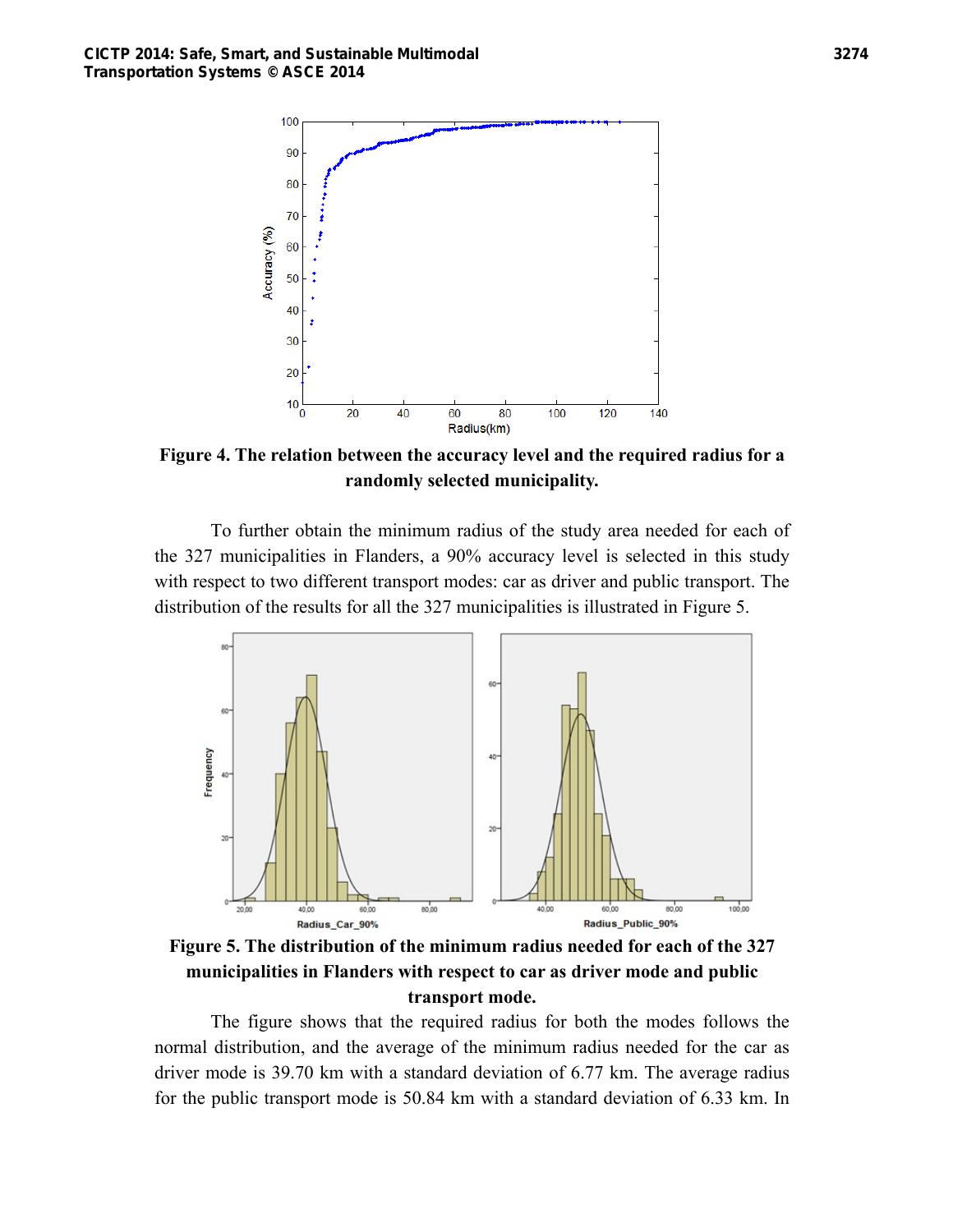

**Figure 4. The relation between the accuracy level and the required radius for a randomly selected municipality.** 

To further obtain the minimum radius of the study area needed for each of the 327 municipalities in Flanders, a 90% accuracy level is selected in this study with respect to two different transport modes: car as driver and public transport. The distribution of the results for all the 327 municipalities is illustrated in Figure 5.



**Figure 5. The distribution of the minimum radius needed for each of the 327 municipalities in Flanders with respect to car as driver mode and public transport mode.** 

The figure shows that the required radius for both the modes follows the normal distribution, and the average of the minimum radius needed for the car as driver mode is 39.70 km with a standard deviation of 6.77 km. The average radius for the public transport mode is 50.84 km with a standard deviation of 6.33 km. In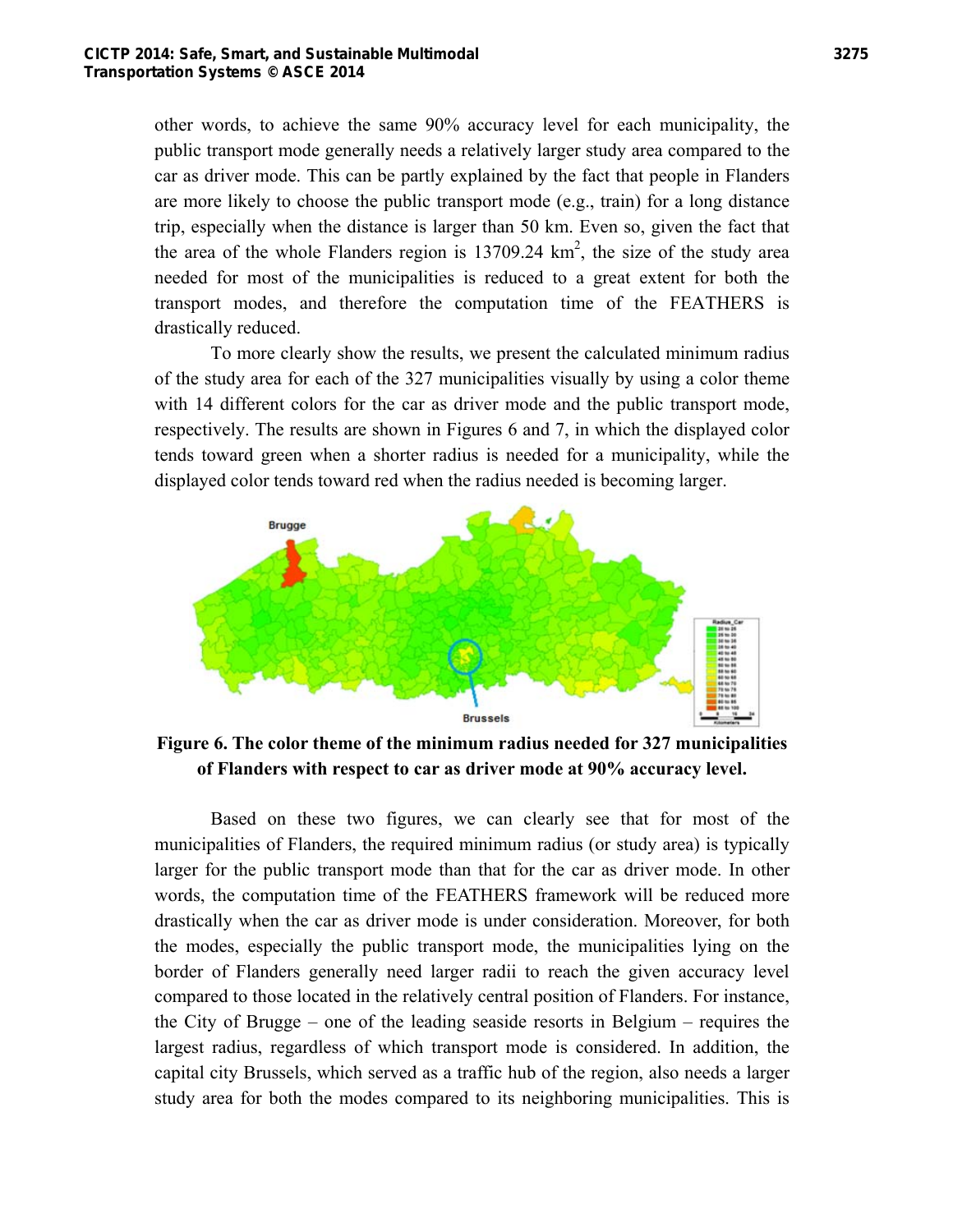other words, to achieve the same 90% accuracy level for each municipality, the public transport mode generally needs a relatively larger study area compared to the car as driver mode. This can be partly explained by the fact that people in Flanders are more likely to choose the public transport mode (e.g., train) for a long distance trip, especially when the distance is larger than 50 km. Even so, given the fact that the area of the whole Flanders region is  $13709.24 \text{ km}^2$ , the size of the study area needed for most of the municipalities is reduced to a great extent for both the transport modes, and therefore the computation time of the FEATHERS is drastically reduced.

To more clearly show the results, we present the calculated minimum radius of the study area for each of the 327 municipalities visually by using a color theme with 14 different colors for the car as driver mode and the public transport mode, respectively. The results are shown in Figures 6 and 7, in which the displayed color tends toward green when a shorter radius is needed for a municipality, while the displayed color tends toward red when the radius needed is becoming larger.



**Figure 6. The color theme of the minimum radius needed for 327 municipalities of Flanders with respect to car as driver mode at 90% accuracy level.** 

Based on these two figures, we can clearly see that for most of the municipalities of Flanders, the required minimum radius (or study area) is typically larger for the public transport mode than that for the car as driver mode. In other words, the computation time of the FEATHERS framework will be reduced more drastically when the car as driver mode is under consideration. Moreover, for both the modes, especially the public transport mode, the municipalities lying on the border of Flanders generally need larger radii to reach the given accuracy level compared to those located in the relatively central position of Flanders. For instance, the City of Brugge – one of the leading seaside resorts in Belgium – requires the largest radius, regardless of which transport mode is considered. In addition, the capital city Brussels, which served as a traffic hub of the region, also needs a larger study area for both the modes compared to its neighboring municipalities. This is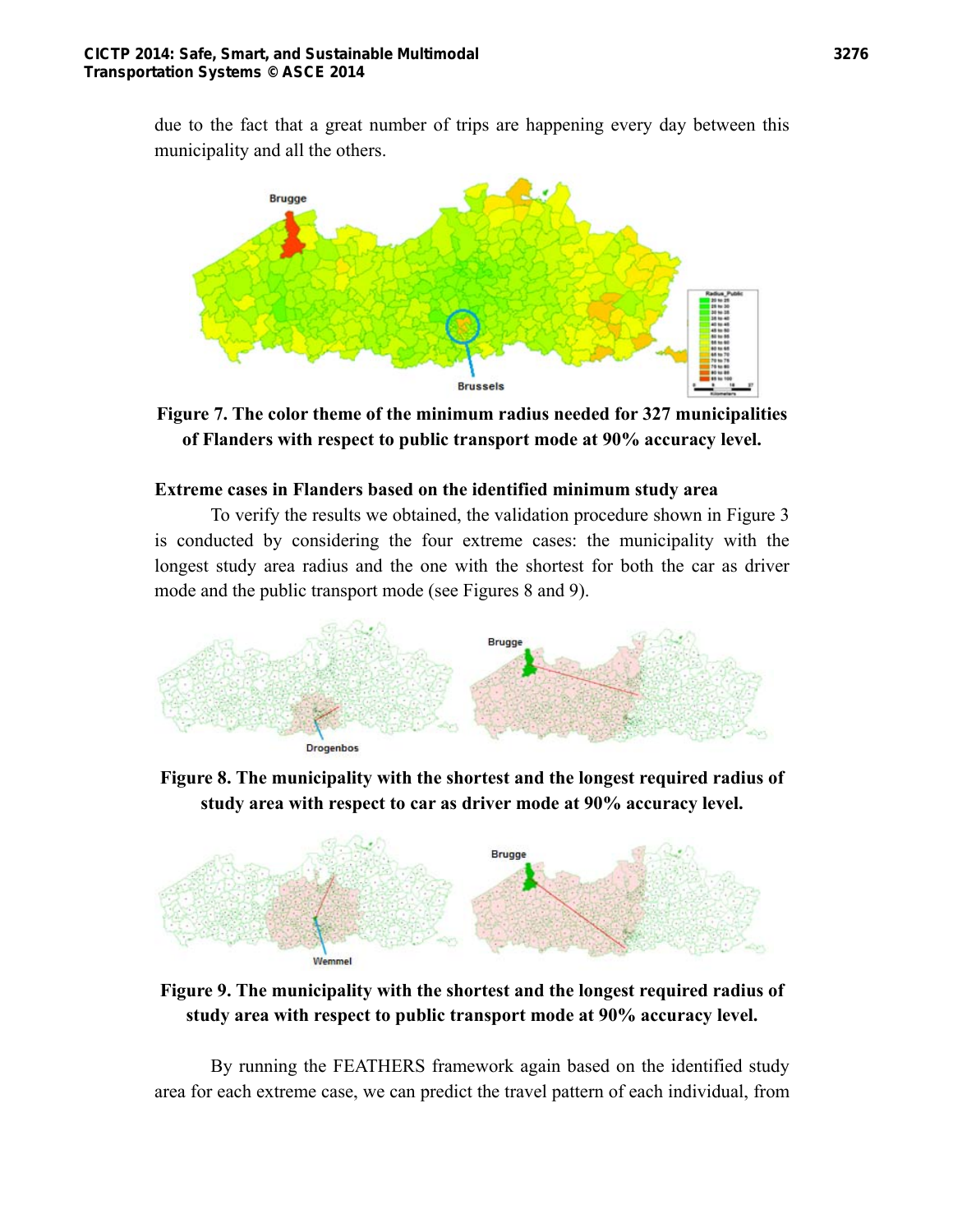due to the fact that a great number of trips are happening every day between this municipality and all the others.



**Figure 7. The color theme of the minimum radius needed for 327 municipalities of Flanders with respect to public transport mode at 90% accuracy level.** 

## **Extreme cases in Flanders based on the identified minimum study area**

To verify the results we obtained, the validation procedure shown in Figure 3 is conducted by considering the four extreme cases: the municipality with the longest study area radius and the one with the shortest for both the car as driver mode and the public transport mode (see Figures 8 and 9).



**Figure 8. The municipality with the shortest and the longest required radius of study area with respect to car as driver mode at 90% accuracy level.** 



**Figure 9. The municipality with the shortest and the longest required radius of study area with respect to public transport mode at 90% accuracy level.** 

By running the FEATHERS framework again based on the identified study area for each extreme case, we can predict the travel pattern of each individual, from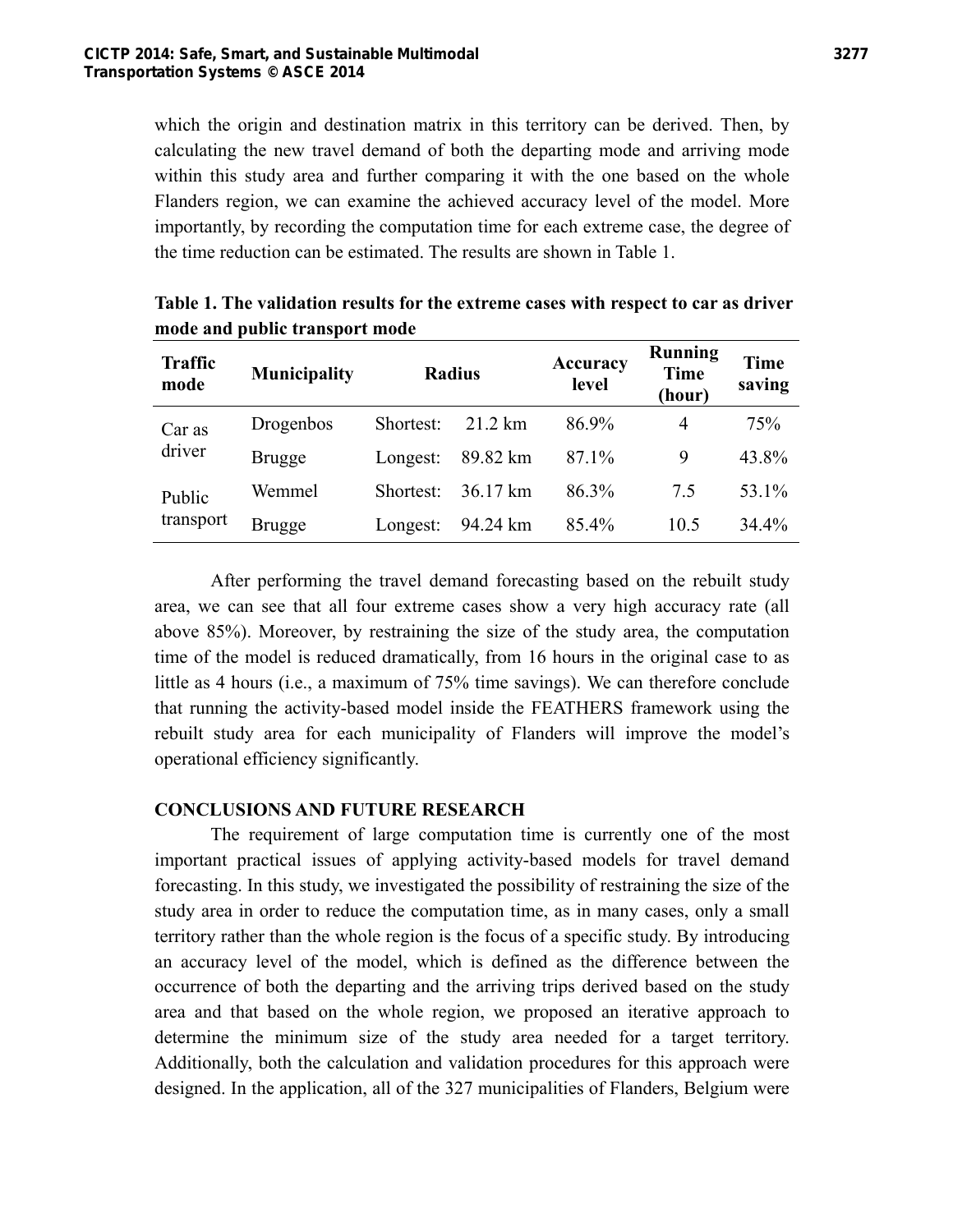which the origin and destination matrix in this territory can be derived. Then, by calculating the new travel demand of both the departing mode and arriving mode within this study area and further comparing it with the one based on the whole Flanders region, we can examine the achieved accuracy level of the model. More importantly, by recording the computation time for each extreme case, the degree of the time reduction can be estimated. The results are shown in Table 1.

| <b>Traffic</b><br>mode | <b>Municipality</b> | <b>Radius</b> |                   | Accuracy<br>level | <b>Running</b><br><b>Time</b><br>(hour) | <b>Time</b><br>saving |
|------------------------|---------------------|---------------|-------------------|-------------------|-----------------------------------------|-----------------------|
| Car as<br>driver       | Drogenbos           | Shortest:     | $21.2 \text{ km}$ | 86.9%             | 4                                       | 75%                   |
|                        | <b>Brugge</b>       | Longest:      | 89.82 km          | 87.1%             | 9                                       | 43.8%                 |
| Public<br>transport    | Wemmel              | Shortest:     | 36.17 km          | 86.3%             | 75                                      | 53.1%                 |
|                        | Brugge              | Longest:      | 94.24 km          | 85.4%             | 10.5                                    | 34.4%                 |

**Table 1. The validation results for the extreme cases with respect to car as driver mode and public transport mode** 

After performing the travel demand forecasting based on the rebuilt study area, we can see that all four extreme cases show a very high accuracy rate (all above 85%). Moreover, by restraining the size of the study area, the computation time of the model is reduced dramatically, from 16 hours in the original case to as little as 4 hours (i.e., a maximum of 75% time savings). We can therefore conclude that running the activity-based model inside the FEATHERS framework using the rebuilt study area for each municipality of Flanders will improve the model's operational efficiency significantly.

## **CONCLUSIONS AND FUTURE RESEARCH**

The requirement of large computation time is currently one of the most important practical issues of applying activity-based models for travel demand forecasting. In this study, we investigated the possibility of restraining the size of the study area in order to reduce the computation time, as in many cases, only a small territory rather than the whole region is the focus of a specific study. By introducing an accuracy level of the model, which is defined as the difference between the occurrence of both the departing and the arriving trips derived based on the study area and that based on the whole region, we proposed an iterative approach to determine the minimum size of the study area needed for a target territory. Additionally, both the calculation and validation procedures for this approach were designed. In the application, all of the 327 municipalities of Flanders, Belgium were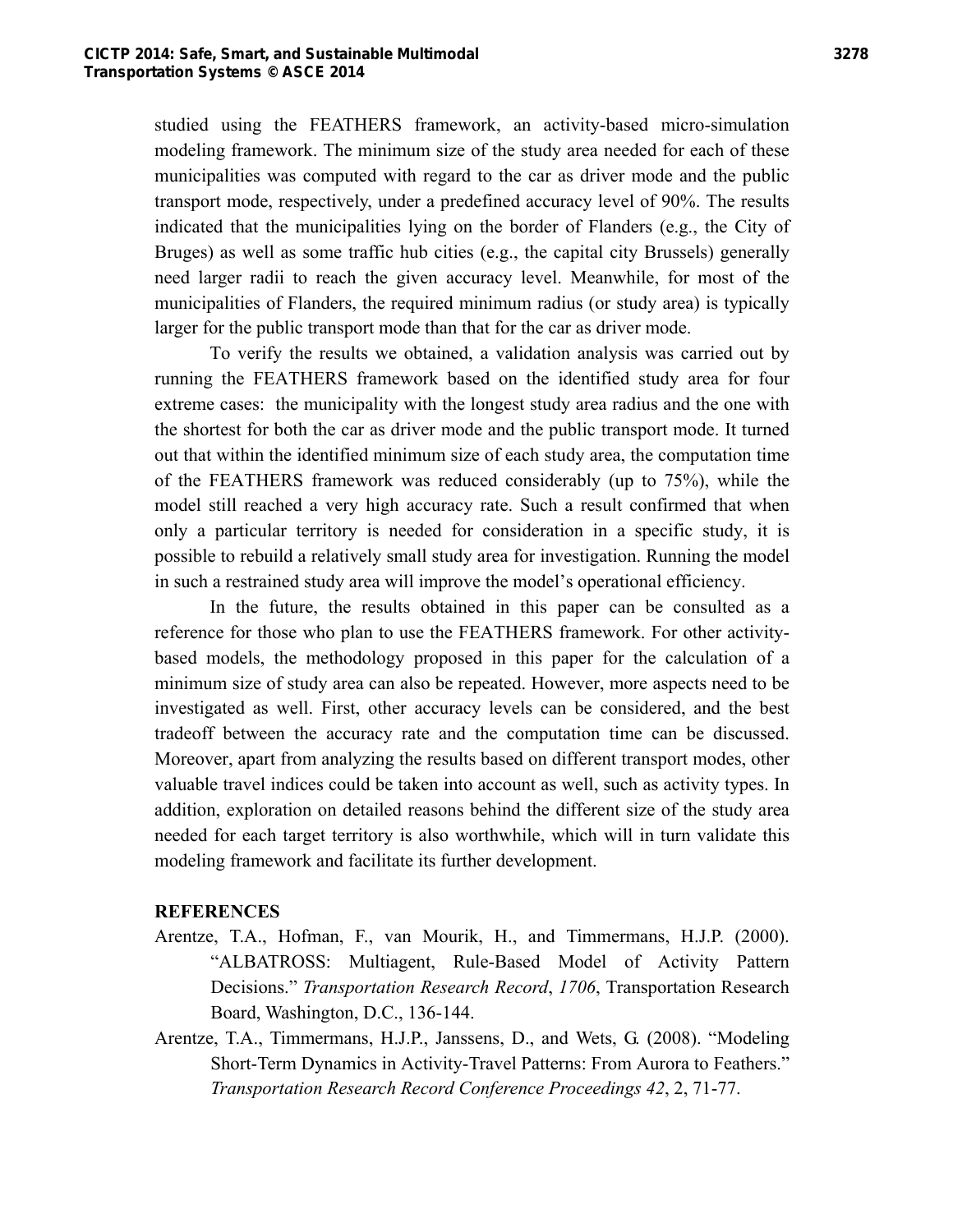studied using the FEATHERS framework, an activity-based micro-simulation modeling framework. The minimum size of the study area needed for each of these municipalities was computed with regard to the car as driver mode and the public transport mode, respectively, under a predefined accuracy level of 90%. The results indicated that the municipalities lying on the border of Flanders (e.g., the City of Bruges) as well as some traffic hub cities (e.g., the capital city Brussels) generally need larger radii to reach the given accuracy level. Meanwhile, for most of the municipalities of Flanders, the required minimum radius (or study area) is typically larger for the public transport mode than that for the car as driver mode.

To verify the results we obtained, a validation analysis was carried out by running the FEATHERS framework based on the identified study area for four extreme cases: the municipality with the longest study area radius and the one with the shortest for both the car as driver mode and the public transport mode. It turned out that within the identified minimum size of each study area, the computation time of the FEATHERS framework was reduced considerably (up to 75%), while the model still reached a very high accuracy rate. Such a result confirmed that when only a particular territory is needed for consideration in a specific study, it is possible to rebuild a relatively small study area for investigation. Running the model in such a restrained study area will improve the model's operational efficiency.

In the future, the results obtained in this paper can be consulted as a reference for those who plan to use the FEATHERS framework. For other activitybased models, the methodology proposed in this paper for the calculation of a minimum size of study area can also be repeated. However, more aspects need to be investigated as well. First, other accuracy levels can be considered, and the best tradeoff between the accuracy rate and the computation time can be discussed. Moreover, apart from analyzing the results based on different transport modes, other valuable travel indices could be taken into account as well, such as activity types. In addition, exploration on detailed reasons behind the different size of the study area needed for each target territory is also worthwhile, which will in turn validate this modeling framework and facilitate its further development.

## **REFERENCES**

- Arentze, T.A., Hofman, F., van Mourik, H., and Timmermans, H.J.P. (2000). "ALBATROSS: Multiagent, Rule-Based Model of Activity Pattern Decisions." *Transportation Research Record*, *1706*, Transportation Research Board, Washington, D.C., 136-144.
- Arentze, T.A., Timmermans, H.J.P., Janssens, D., and Wets, G. (2008). "Modeling Short-Term Dynamics in Activity-Travel Patterns: From Aurora to Feathers." *Transportation Research Record Conference Proceedings 42*, 2, 71-77.